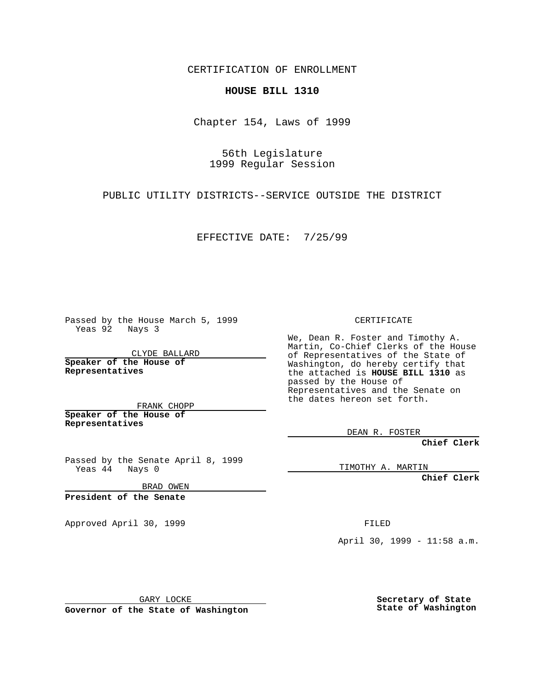CERTIFICATION OF ENROLLMENT

**HOUSE BILL 1310**

Chapter 154, Laws of 1999

56th Legislature 1999 Regular Session

PUBLIC UTILITY DISTRICTS--SERVICE OUTSIDE THE DISTRICT

EFFECTIVE DATE: 7/25/99

Passed by the House March 5, 1999 Yeas 92 Nays 3

CLYDE BALLARD **Speaker of the House of Representatives**

FRANK CHOPP **Speaker of the House of Representatives**

Passed by the Senate April 8, 1999 Yeas 44 Nays 0

BRAD OWEN

**President of the Senate**

Approved April 30, 1999 **FILED** 

CERTIFICATE

We, Dean R. Foster and Timothy A. Martin, Co-Chief Clerks of the House of Representatives of the State of Washington, do hereby certify that the attached is **HOUSE BILL 1310** as passed by the House of Representatives and the Senate on the dates hereon set forth.

DEAN R. FOSTER

**Chief Clerk**

TIMOTHY A. MARTIN

**Chief Clerk**

April 30, 1999 - 11:58 a.m.

GARY LOCKE

**Governor of the State of Washington**

**Secretary of State State of Washington**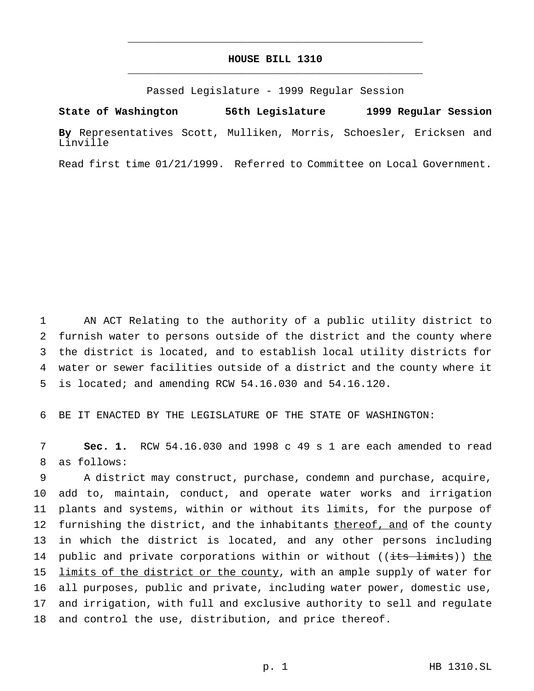## **HOUSE BILL 1310** \_\_\_\_\_\_\_\_\_\_\_\_\_\_\_\_\_\_\_\_\_\_\_\_\_\_\_\_\_\_\_\_\_\_\_\_\_\_\_\_\_\_\_\_\_\_\_

\_\_\_\_\_\_\_\_\_\_\_\_\_\_\_\_\_\_\_\_\_\_\_\_\_\_\_\_\_\_\_\_\_\_\_\_\_\_\_\_\_\_\_\_\_\_\_

Passed Legislature - 1999 Regular Session

**State of Washington 56th Legislature 1999 Regular Session**

**By** Representatives Scott, Mulliken, Morris, Schoesler, Ericksen and Linville

Read first time 01/21/1999. Referred to Committee on Local Government.

 AN ACT Relating to the authority of a public utility district to furnish water to persons outside of the district and the county where the district is located, and to establish local utility districts for water or sewer facilities outside of a district and the county where it is located; and amending RCW 54.16.030 and 54.16.120.

6 BE IT ENACTED BY THE LEGISLATURE OF THE STATE OF WASHINGTON:

7 **Sec. 1.** RCW 54.16.030 and 1998 c 49 s 1 are each amended to read 8 as follows:

 A district may construct, purchase, condemn and purchase, acquire, add to, maintain, conduct, and operate water works and irrigation plants and systems, within or without its limits, for the purpose of 12 furnishing the district, and the inhabitants thereof, and of the county in which the district is located, and any other persons including 14 public and private corporations within or without ((its limits)) the 15 limits of the district or the county, with an ample supply of water for all purposes, public and private, including water power, domestic use, and irrigation, with full and exclusive authority to sell and regulate and control the use, distribution, and price thereof.